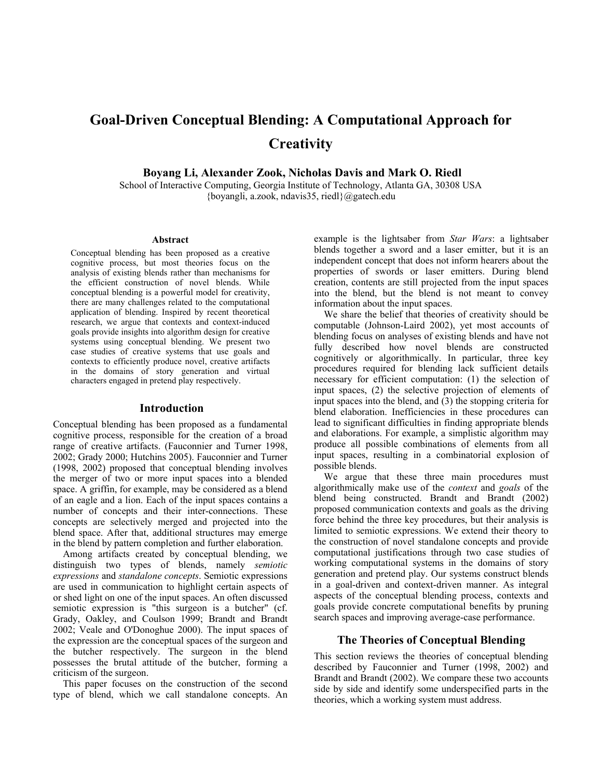# **Goal-Driven Conceptual Blending: A Computational Approach for Creativity**

 **Boyang Li, Alexander Zook, Nicholas Davis and Mark O. Riedl** 

School of Interactive Computing, Georgia Institute of Technology, Atlanta GA, 30308 USA {boyangli, a.zook, ndavis35, riedl}@gatech.edu

#### **Abstract**

Conceptual blending has been proposed as a creative cognitive process, but most theories focus on the analysis of existing blends rather than mechanisms for the efficient construction of novel blends. While conceptual blending is a powerful model for creativity, there are many challenges related to the computational application of blending. Inspired by recent theoretical research, we argue that contexts and context-induced goals provide insights into algorithm design for creative systems using conceptual blending. We present two case studies of creative systems that use goals and contexts to efficiently produce novel, creative artifacts in the domains of story generation and virtual characters engaged in pretend play respectively.

#### **Introduction**

Conceptual blending has been proposed as a fundamental cognitive process, responsible for the creation of a broad range of creative artifacts. (Fauconnier and Turner 1998, 2002; Grady 2000; Hutchins 2005). Fauconnier and Turner (1998, 2002) proposed that conceptual blending involves the merger of two or more input spaces into a blended space. A griffin, for example, may be considered as a blend of an eagle and a lion. Each of the input spaces contains a number of concepts and their inter-connections. These concepts are selectively merged and projected into the blend space. After that, additional structures may emerge in the blend by pattern completion and further elaboration.

 Among artifacts created by conceptual blending, we distinguish two types of blends, namely *semiotic expressions* and *standalone concepts*. Semiotic expressions are used in communication to highlight certain aspects of or shed light on one of the input spaces. An often discussed semiotic expression is "this surgeon is a butcher" (cf. Grady, Oakley, and Coulson 1999; Brandt and Brandt 2002; Veale and O'Donoghue 2000). The input spaces of the expression are the conceptual spaces of the surgeon and the butcher respectively. The surgeon in the blend possesses the brutal attitude of the butcher, forming a criticism of the surgeon.

 This paper focuses on the construction of the second type of blend, which we call standalone concepts. An example is the lightsaber from *Star Wars*: a lightsaber blends together a sword and a laser emitter, but it is an independent concept that does not inform hearers about the properties of swords or laser emitters. During blend creation, contents are still projected from the input spaces into the blend, but the blend is not meant to convey information about the input spaces.

 We share the belief that theories of creativity should be computable (Johnson-Laird 2002), yet most accounts of blending focus on analyses of existing blends and have not fully described how novel blends are constructed cognitively or algorithmically. In particular, three key procedures required for blending lack sufficient details necessary for efficient computation: (1) the selection of input spaces, (2) the selective projection of elements of input spaces into the blend, and (3) the stopping criteria for blend elaboration. Inefficiencies in these procedures can lead to significant difficulties in finding appropriate blends and elaborations. For example, a simplistic algorithm may produce all possible combinations of elements from all input spaces, resulting in a combinatorial explosion of possible blends.

 We argue that these three main procedures must algorithmically make use of the *context* and *goals* of the blend being constructed. Brandt and Brandt (2002) proposed communication contexts and goals as the driving force behind the three key procedures, but their analysis is limited to semiotic expressions. We extend their theory to the construction of novel standalone concepts and provide computational justifications through two case studies of working computational systems in the domains of story generation and pretend play. Our systems construct blends in a goal-driven and context-driven manner. As integral aspects of the conceptual blending process, contexts and goals provide concrete computational benefits by pruning search spaces and improving average-case performance.

#### **The Theories of Conceptual Blending**

This section reviews the theories of conceptual blending described by Fauconnier and Turner (1998, 2002) and Brandt and Brandt (2002). We compare these two accounts side by side and identify some underspecified parts in the theories, which a working system must address.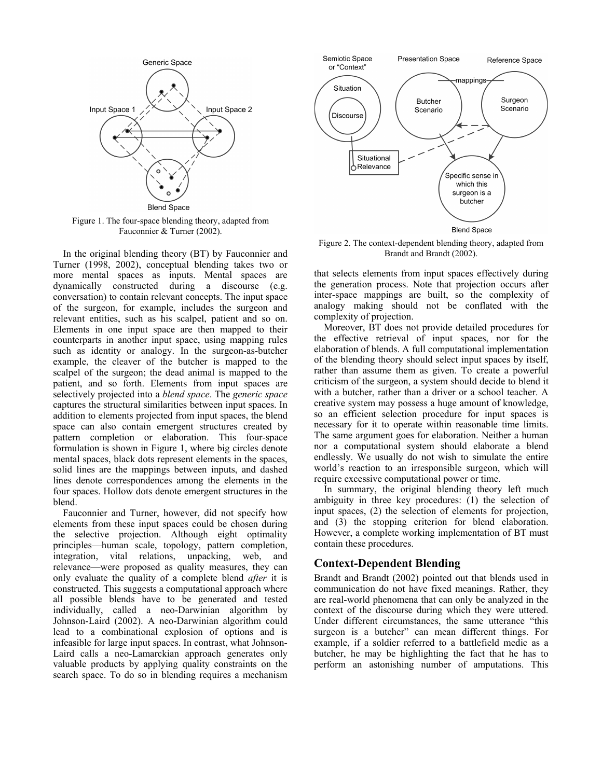

Figure 1. The four-space blending theory, adapted from Fauconnier & Turner (2002).

 In the original blending theory (BT) by Fauconnier and Turner (1998, 2002), conceptual blending takes two or more mental spaces as inputs. Mental spaces are dynamically constructed during a discourse (e.g. conversation) to contain relevant concepts. The input space of the surgeon, for example, includes the surgeon and relevant entities, such as his scalpel, patient and so on. Elements in one input space are then mapped to their counterparts in another input space, using mapping rules such as identity or analogy. In the surgeon-as-butcher example, the cleaver of the butcher is mapped to the scalpel of the surgeon; the dead animal is mapped to the patient, and so forth. Elements from input spaces are selectively projected into a *blend space*. The *generic space* captures the structural similarities between input spaces. In addition to elements projected from input spaces, the blend space can also contain emergent structures created by pattern completion or elaboration. This four-space formulation is shown in Figure 1, where big circles denote mental spaces, black dots represent elements in the spaces, solid lines are the mappings between inputs, and dashed lines denote correspondences among the elements in the four spaces. Hollow dots denote emergent structures in the blend.

 Fauconnier and Turner, however, did not specify how elements from these input spaces could be chosen during the selective projection. Although eight optimality principles—human scale, topology, pattern completion, integration, vital relations, unpacking, web, and relevance—were proposed as quality measures, they can only evaluate the quality of a complete blend *after* it is constructed. This suggests a computational approach where all possible blends have to be generated and tested individually, called a neo-Darwinian algorithm by Johnson-Laird (2002). A neo-Darwinian algorithm could lead to a combinational explosion of options and is infeasible for large input spaces. In contrast, what Johnson-Laird calls a neo-Lamarckian approach generates only valuable products by applying quality constraints on the search space. To do so in blending requires a mechanism



Figure 2. The context-dependent blending theory, adapted from Brandt and Brandt (2002).

that selects elements from input spaces effectively during the generation process. Note that projection occurs after inter-space mappings are built, so the complexity of analogy making should not be conflated with the complexity of projection.

 Moreover, BT does not provide detailed procedures for the effective retrieval of input spaces, nor for the elaboration of blends. A full computational implementation of the blending theory should select input spaces by itself, rather than assume them as given. To create a powerful criticism of the surgeon, a system should decide to blend it with a butcher, rather than a driver or a school teacher. A creative system may possess a huge amount of knowledge, so an efficient selection procedure for input spaces is necessary for it to operate within reasonable time limits. The same argument goes for elaboration. Neither a human nor a computational system should elaborate a blend endlessly. We usually do not wish to simulate the entire world's reaction to an irresponsible surgeon, which will require excessive computational power or time.

 In summary, the original blending theory left much ambiguity in three key procedures: (1) the selection of input spaces, (2) the selection of elements for projection, and (3) the stopping criterion for blend elaboration. However, a complete working implementation of BT must contain these procedures.

## **Context-Dependent Blending**

Brandt and Brandt (2002) pointed out that blends used in communication do not have fixed meanings. Rather, they are real-world phenomena that can only be analyzed in the context of the discourse during which they were uttered. Under different circumstances, the same utterance "this surgeon is a butcher" can mean different things. For example, if a soldier referred to a battlefield medic as a butcher, he may be highlighting the fact that he has to perform an astonishing number of amputations. This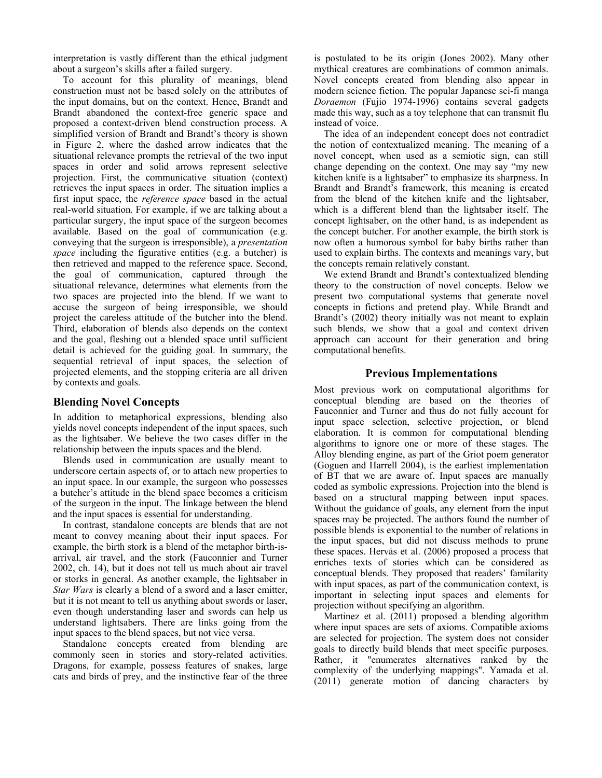interpretation is vastly different than the ethical judgment about a surgeon's skills after a failed surgery.

 To account for this plurality of meanings, blend construction must not be based solely on the attributes of the input domains, but on the context. Hence, Brandt and Brandt abandoned the context-free generic space and proposed a context-driven blend construction process. A simplified version of Brandt and Brandt's theory is shown in Figure 2, where the dashed arrow indicates that the situational relevance prompts the retrieval of the two input spaces in order and solid arrows represent selective projection. First, the communicative situation (context) retrieves the input spaces in order. The situation implies a first input space, the *reference space* based in the actual real-world situation. For example, if we are talking about a particular surgery, the input space of the surgeon becomes available. Based on the goal of communication (e.g. conveying that the surgeon is irresponsible), a *presentation space* including the figurative entities (e.g. a butcher) is then retrieved and mapped to the reference space. Second, the goal of communication, captured through the situational relevance, determines what elements from the two spaces are projected into the blend. If we want to accuse the surgeon of being irresponsible, we should project the careless attitude of the butcher into the blend. Third, elaboration of blends also depends on the context and the goal, fleshing out a blended space until sufficient detail is achieved for the guiding goal. In summary, the sequential retrieval of input spaces, the selection of projected elements, and the stopping criteria are all driven by contexts and goals.

### **Blending Novel Concepts**

In addition to metaphorical expressions, blending also yields novel concepts independent of the input spaces, such as the lightsaber. We believe the two cases differ in the relationship between the inputs spaces and the blend.

 Blends used in communication are usually meant to underscore certain aspects of, or to attach new properties to an input space. In our example, the surgeon who possesses a butcher's attitude in the blend space becomes a criticism of the surgeon in the input. The linkage between the blend and the input spaces is essential for understanding.

 In contrast, standalone concepts are blends that are not meant to convey meaning about their input spaces. For example, the birth stork is a blend of the metaphor birth-isarrival, air travel, and the stork (Fauconnier and Turner 2002, ch. 14), but it does not tell us much about air travel or storks in general. As another example, the lightsaber in *Star Wars* is clearly a blend of a sword and a laser emitter, but it is not meant to tell us anything about swords or laser, even though understanding laser and swords can help us understand lightsabers. There are links going from the input spaces to the blend spaces, but not vice versa.

Standalone concepts created from blending are commonly seen in stories and story-related activities. Dragons, for example, possess features of snakes, large cats and birds of prey, and the instinctive fear of the three is postulated to be its origin (Jones 2002). Many other mythical creatures are combinations of common animals. Novel concepts created from blending also appear in modern science fiction. The popular Japanese sci-fi manga *Doraemon* (Fujio 1974-1996) contains several gadgets made this way, such as a toy telephone that can transmit flu instead of voice.

 The idea of an independent concept does not contradict the notion of contextualized meaning. The meaning of a novel concept, when used as a semiotic sign, can still change depending on the context. One may say "my new kitchen knife is a lightsaber" to emphasize its sharpness. In Brandt and Brandt's framework, this meaning is created from the blend of the kitchen knife and the lightsaber, which is a different blend than the lightsaber itself. The concept lightsaber, on the other hand, is as independent as the concept butcher. For another example, the birth stork is now often a humorous symbol for baby births rather than used to explain births. The contexts and meanings vary, but the concepts remain relatively constant.

 We extend Brandt and Brandt's contextualized blending theory to the construction of novel concepts. Below we present two computational systems that generate novel concepts in fictions and pretend play. While Brandt and Brandt's (2002) theory initially was not meant to explain such blends, we show that a goal and context driven approach can account for their generation and bring computational benefits.

## **Previous Implementations**

Most previous work on computational algorithms for conceptual blending are based on the theories of Fauconnier and Turner and thus do not fully account for input space selection, selective projection, or blend elaboration. It is common for computational blending algorithms to ignore one or more of these stages. The Alloy blending engine, as part of the Griot poem generator (Goguen and Harrell 2004), is the earliest implementation of BT that we are aware of. Input spaces are manually coded as symbolic expressions. Projection into the blend is based on a structural mapping between input spaces. Without the guidance of goals, any element from the input spaces may be projected. The authors found the number of possible blends is exponential to the number of relations in the input spaces, but did not discuss methods to prune these spaces. Hervás et al. (2006) proposed a process that enriches texts of stories which can be considered as conceptual blends. They proposed that readers' familarity with input spaces, as part of the communication context, is important in selecting input spaces and elements for projection without specifying an algorithm.

 Martinez et al. (2011) proposed a blending algorithm where input spaces are sets of axioms. Compatible axioms are selected for projection. The system does not consider goals to directly build blends that meet specific purposes. Rather, it "enumerates alternatives ranked by the complexity of the underlying mappings". Yamada et al. (2011) generate motion of dancing characters by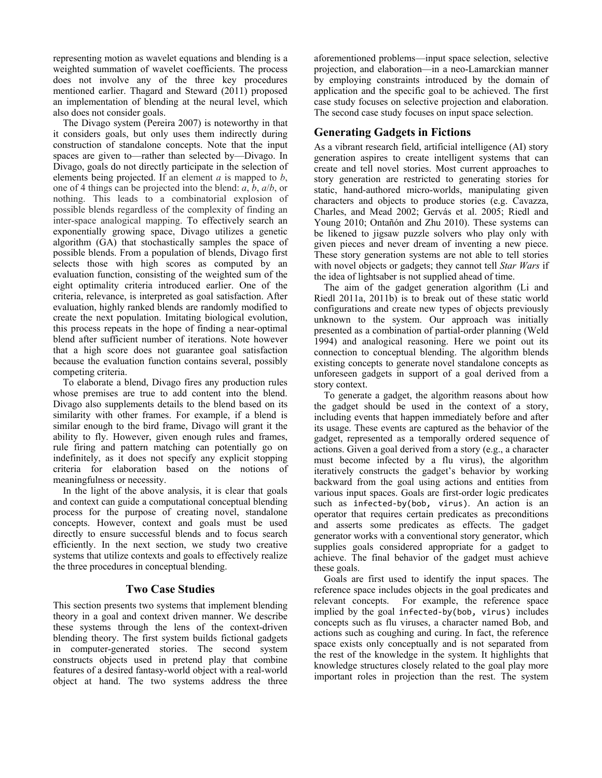representing motion as wavelet equations and blending is a weighted summation of wavelet coefficients. The process does not involve any of the three key procedures mentioned earlier. Thagard and Steward (2011) proposed an implementation of blending at the neural level, which also does not consider goals.

 The Divago system (Pereira 2007) is noteworthy in that it considers goals, but only uses them indirectly during construction of standalone concepts. Note that the input spaces are given to—rather than selected by—Divago. In Divago, goals do not directly participate in the selection of elements being projected. If an element *a* is mapped to *b*, one of 4 things can be projected into the blend: *a*, *b*, *a*/*b*, or nothing. This leads to a combinatorial explosion of possible blends regardless of the complexity of finding an inter-space analogical mapping. To effectively search an exponentially growing space, Divago utilizes a genetic algorithm (GA) that stochastically samples the space of possible blends. From a population of blends, Divago first selects those with high scores as computed by an evaluation function, consisting of the weighted sum of the eight optimality criteria introduced earlier. One of the criteria, relevance, is interpreted as goal satisfaction. After evaluation, highly ranked blends are randomly modified to create the next population. Imitating biological evolution, this process repeats in the hope of finding a near-optimal blend after sufficient number of iterations. Note however that a high score does not guarantee goal satisfaction because the evaluation function contains several, possibly competing criteria.

 To elaborate a blend, Divago fires any production rules whose premises are true to add content into the blend. Divago also supplements details to the blend based on its similarity with other frames. For example, if a blend is similar enough to the bird frame, Divago will grant it the ability to fly. However, given enough rules and frames, rule firing and pattern matching can potentially go on indefinitely, as it does not specify any explicit stopping criteria for elaboration based on the notions of meaningfulness or necessity.

 In the light of the above analysis, it is clear that goals and context can guide a computational conceptual blending process for the purpose of creating novel, standalone concepts. However, context and goals must be used directly to ensure successful blends and to focus search efficiently. In the next section, we study two creative systems that utilize contexts and goals to effectively realize the three procedures in conceptual blending.

## **Two Case Studies**

This section presents two systems that implement blending theory in a goal and context driven manner. We describe these systems through the lens of the context-driven blending theory. The first system builds fictional gadgets in computer-generated stories. The second system constructs objects used in pretend play that combine features of a desired fantasy-world object with a real-world object at hand. The two systems address the three aforementioned problems—input space selection, selective projection, and elaboration—in a neo-Lamarckian manner by employing constraints introduced by the domain of application and the specific goal to be achieved. The first case study focuses on selective projection and elaboration. The second case study focuses on input space selection.

## **Generating Gadgets in Fictions**

As a vibrant research field, artificial intelligence (AI) story generation aspires to create intelligent systems that can create and tell novel stories. Most current approaches to story generation are restricted to generating stories for static, hand-authored micro-worlds, manipulating given characters and objects to produce stories (e.g. Cavazza, Charles, and Mead 2002; Gervás et al. 2005; Riedl and Young 2010; Ontañón and Zhu 2010). These systems can be likened to jigsaw puzzle solvers who play only with given pieces and never dream of inventing a new piece. These story generation systems are not able to tell stories with novel objects or gadgets; they cannot tell *Star Wars* if the idea of lightsaber is not supplied ahead of time.

 The aim of the gadget generation algorithm (Li and Riedl 2011a, 2011b) is to break out of these static world configurations and create new types of objects previously unknown to the system. Our approach was initially presented as a combination of partial-order planning (Weld 1994) and analogical reasoning. Here we point out its connection to conceptual blending. The algorithm blends existing concepts to generate novel standalone concepts as unforeseen gadgets in support of a goal derived from a story context.

 To generate a gadget, the algorithm reasons about how the gadget should be used in the context of a story, including events that happen immediately before and after its usage. These events are captured as the behavior of the gadget, represented as a temporally ordered sequence of actions. Given a goal derived from a story (e.g., a character must become infected by a flu virus), the algorithm iteratively constructs the gadget's behavior by working backward from the goal using actions and entities from various input spaces. Goals are first-order logic predicates such as infected‐by(bob, virus). An action is an operator that requires certain predicates as preconditions and asserts some predicates as effects. The gadget generator works with a conventional story generator, which supplies goals considered appropriate for a gadget to achieve. The final behavior of the gadget must achieve these goals.

 Goals are first used to identify the input spaces. The reference space includes objects in the goal predicates and relevant concepts. For example, the reference space implied by the goal infected‐by(bob, virus) includes concepts such as flu viruses, a character named Bob, and actions such as coughing and curing. In fact, the reference space exists only conceptually and is not separated from the rest of the knowledge in the system. It highlights that knowledge structures closely related to the goal play more important roles in projection than the rest. The system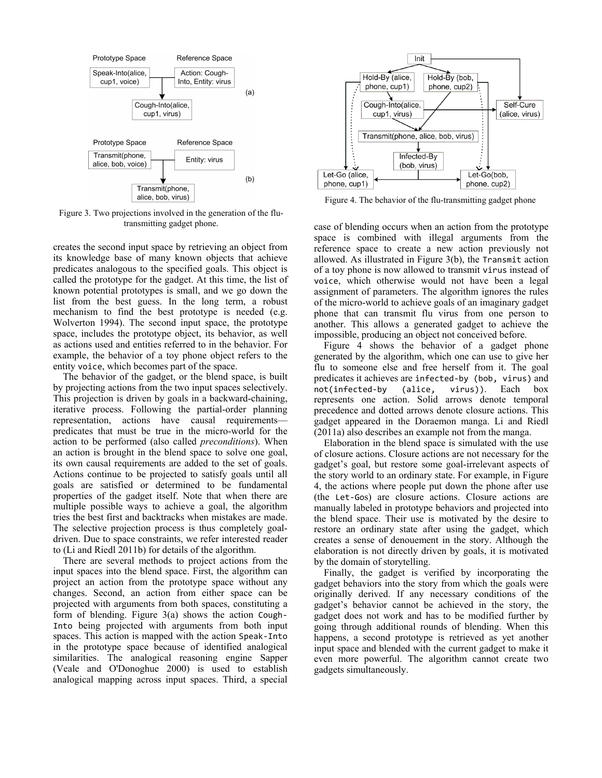

Figure 3. Two projections involved in the generation of the flutransmitting gadget phone.

creates the second input space by retrieving an object from its knowledge base of many known objects that achieve predicates analogous to the specified goals. This object is called the prototype for the gadget. At this time, the list of known potential prototypes is small, and we go down the list from the best guess. In the long term, a robust mechanism to find the best prototype is needed (e.g. Wolverton 1994). The second input space, the prototype space, includes the prototype object, its behavior, as well as actions used and entities referred to in the behavior. For example, the behavior of a toy phone object refers to the entity voice, which becomes part of the space.

 The behavior of the gadget, or the blend space, is built by projecting actions from the two input spaces selectively. This projection is driven by goals in a backward-chaining, iterative process. Following the partial-order planning representation, actions have causal requirements predicates that must be true in the micro-world for the action to be performed (also called *preconditions*). When an action is brought in the blend space to solve one goal, its own causal requirements are added to the set of goals. Actions continue to be projected to satisfy goals until all goals are satisfied or determined to be fundamental properties of the gadget itself. Note that when there are multiple possible ways to achieve a goal, the algorithm tries the best first and backtracks when mistakes are made. The selective projection process is thus completely goaldriven. Due to space constraints, we refer interested reader to (Li and Riedl 2011b) for details of the algorithm.

 There are several methods to project actions from the input spaces into the blend space. First, the algorithm can project an action from the prototype space without any changes. Second, an action from either space can be projected with arguments from both spaces, constituting a form of blending. Figure  $3(a)$  shows the action Cough-Into being projected with arguments from both input spaces. This action is mapped with the action Speak-Into in the prototype space because of identified analogical similarities. The analogical reasoning engine Sapper (Veale and O'Donoghue 2000) is used to establish analogical mapping across input spaces. Third, a special



Figure 4. The behavior of the flu-transmitting gadget phone

case of blending occurs when an action from the prototype space is combined with illegal arguments from the reference space to create a new action previously not allowed. As illustrated in Figure 3(b), the Transmit action of a toy phone is now allowed to transmit virus instead of voice, which otherwise would not have been a legal assignment of parameters. The algorithm ignores the rules of the micro-world to achieve goals of an imaginary gadget phone that can transmit flu virus from one person to another. This allows a generated gadget to achieve the impossible, producing an object not conceived before.

 Figure 4 shows the behavior of a gadget phone generated by the algorithm, which one can use to give her flu to someone else and free herself from it. The goal predicates it achieves are infected‐by (bob, virus) and not(infected‐by (alice, virus)). Each box represents one action. Solid arrows denote temporal precedence and dotted arrows denote closure actions. This gadget appeared in the Doraemon manga. Li and Riedl (2011a) also describes an example not from the manga.

 Elaboration in the blend space is simulated with the use of closure actions. Closure actions are not necessary for the gadget's goal, but restore some goal-irrelevant aspects of the story world to an ordinary state. For example, in Figure 4, the actions where people put down the phone after use (the Let‐Gos) are closure actions. Closure actions are manually labeled in prototype behaviors and projected into the blend space. Their use is motivated by the desire to restore an ordinary state after using the gadget, which creates a sense of denouement in the story. Although the elaboration is not directly driven by goals, it is motivated by the domain of storytelling.

 Finally, the gadget is verified by incorporating the gadget behaviors into the story from which the goals were originally derived. If any necessary conditions of the gadget's behavior cannot be achieved in the story, the gadget does not work and has to be modified further by going through additional rounds of blending. When this happens, a second prototype is retrieved as yet another input space and blended with the current gadget to make it even more powerful. The algorithm cannot create two gadgets simultaneously.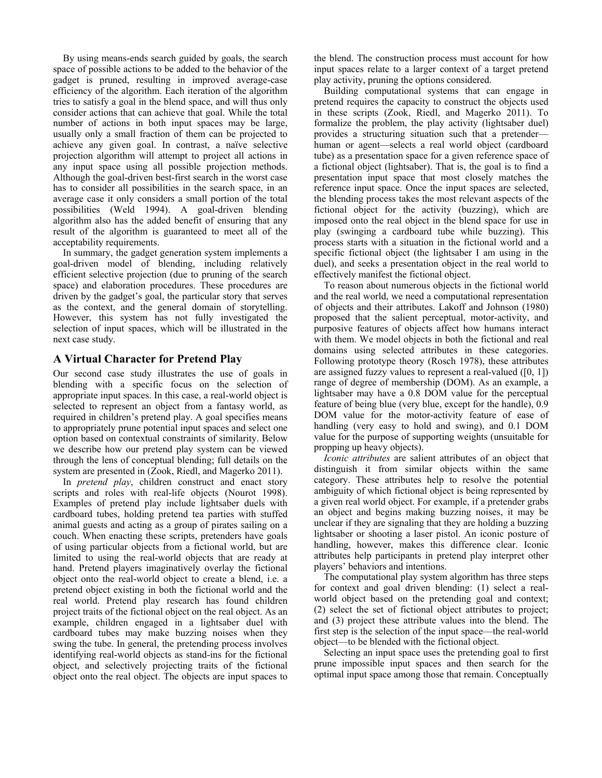By using means-ends search guided by goals, the search space of possible actions to be added to the behavior of the gadget is pruned, resulting in improved average-case efficiency of the algorithm. Each iteration of the algorithm tries to satisfy a goal in the blend space, and will thus only consider actions that can achieve that goal. While the total number of actions in both input spaces may be large, usually only a small fraction of them can be projected to achieve any given goal. In contrast, a naïve selective projection algorithm will attempt to project all actions in any input space using all possible projection methods. Although the goal-driven best-first search in the worst case has to consider all possibilities in the search space, in an average case it only considers a small portion of the total possibilities (Weld 1994). A goal-driven blending algorithm also has the added benefit of ensuring that any result of the algorithm is guaranteed to meet all of the acceptability requirements.

 In summary, the gadget generation system implements a goal-driven model of blending, including relatively efficient selective projection (due to pruning of the search space) and elaboration procedures. These procedures are driven by the gadget's goal, the particular story that serves as the context, and the general domain of storytelling. However, this system has not fully investigated the selection of input spaces, which will be illustrated in the next case study.

## **A Virtual Character for Pretend Play**

Our second case study illustrates the use of goals in blending with a specific focus on the selection of appropriate input spaces. In this case, a real-world object is selected to represent an object from a fantasy world, as required in children's pretend play. A goal specifies means to appropriately prune potential input spaces and select one option based on contextual constraints of similarity. Below we describe how our pretend play system can be viewed through the lens of conceptual blending; full details on the system are presented in (Zook, Riedl, and Magerko 2011).

 In *pretend play*, children construct and enact story scripts and roles with real-life objects (Nourot 1998). Examples of pretend play include lightsaber duels with cardboard tubes, holding pretend tea parties with stuffed animal guests and acting as a group of pirates sailing on a couch. When enacting these scripts, pretenders have goals of using particular objects from a fictional world, but are limited to using the real-world objects that are ready at hand. Pretend players imaginatively overlay the fictional object onto the real-world object to create a blend, i.e. a pretend object existing in both the fictional world and the real world. Pretend play research has found children project traits of the fictional object on the real object. As an example, children engaged in a lightsaber duel with cardboard tubes may make buzzing noises when they swing the tube. In general, the pretending process involves identifying real-world objects as stand-ins for the fictional object, and selectively projecting traits of the fictional object onto the real object. The objects are input spaces to

the blend. The construction process must account for how input spaces relate to a larger context of a target pretend play activity, pruning the options considered.

 Building computational systems that can engage in pretend requires the capacity to construct the objects used in these scripts (Zook, Riedl, and Magerko 2011). To formalize the problem, the play activity (lightsaber duel) provides a structuring situation such that a pretender human or agent—selects a real world object (cardboard tube) as a presentation space for a given reference space of a fictional object (lightsaber). That is, the goal is to find a presentation input space that most closely matches the reference input space. Once the input spaces are selected, the blending process takes the most relevant aspects of the fictional object for the activity (buzzing), which are imposed onto the real object in the blend space for use in play (swinging a cardboard tube while buzzing). This process starts with a situation in the fictional world and a specific fictional object (the lightsaber I am using in the duel), and seeks a presentation object in the real world to effectively manifest the fictional object.

 To reason about numerous objects in the fictional world and the real world, we need a computational representation of objects and their attributes. Lakoff and Johnson (1980) proposed that the salient perceptual, motor-activity, and purposive features of objects affect how humans interact with them. We model objects in both the fictional and real domains using selected attributes in these categories. Following prototype theory (Rosch 1978), these attributes are assigned fuzzy values to represent a real-valued  $([0, 1])$ range of degree of membership (DOM). As an example, a lightsaber may have a 0.8 DOM value for the perceptual feature of being blue (very blue, except for the handle), 0.9 DOM value for the motor-activity feature of ease of handling (very easy to hold and swing), and 0.1 DOM value for the purpose of supporting weights (unsuitable for propping up heavy objects).

*Iconic attributes* are salient attributes of an object that distinguish it from similar objects within the same category. These attributes help to resolve the potential ambiguity of which fictional object is being represented by a given real world object. For example, if a pretender grabs an object and begins making buzzing noises, it may be unclear if they are signaling that they are holding a buzzing lightsaber or shooting a laser pistol. An iconic posture of handling, however, makes this difference clear. Iconic attributes help participants in pretend play interpret other players' behaviors and intentions.

 The computational play system algorithm has three steps for context and goal driven blending: (1) select a realworld object based on the pretending goal and context; (2) select the set of fictional object attributes to project; and (3) project these attribute values into the blend. The first step is the selection of the input space—the real-world object—to be blended with the fictional object.

 Selecting an input space uses the pretending goal to first prune impossible input spaces and then search for the optimal input space among those that remain. Conceptually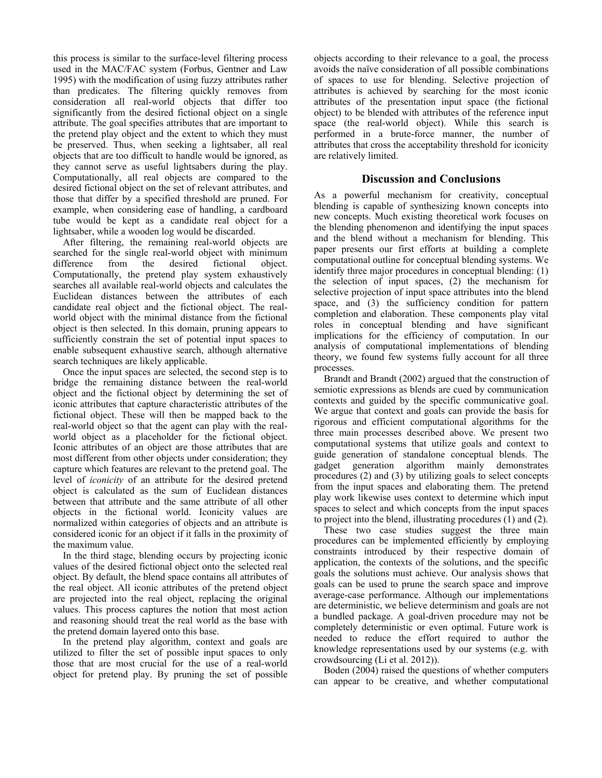this process is similar to the surface-level filtering process used in the MAC/FAC system (Forbus, Gentner and Law 1995) with the modification of using fuzzy attributes rather than predicates. The filtering quickly removes from consideration all real-world objects that differ too significantly from the desired fictional object on a single attribute. The goal specifies attributes that are important to the pretend play object and the extent to which they must be preserved. Thus, when seeking a lightsaber, all real objects that are too difficult to handle would be ignored, as they cannot serve as useful lightsabers during the play. Computationally, all real objects are compared to the desired fictional object on the set of relevant attributes, and those that differ by a specified threshold are pruned. For example, when considering ease of handling, a cardboard tube would be kept as a candidate real object for a lightsaber, while a wooden log would be discarded.

 After filtering, the remaining real-world objects are searched for the single real-world object with minimum difference from the desired fictional object. Computationally, the pretend play system exhaustively searches all available real-world objects and calculates the Euclidean distances between the attributes of each candidate real object and the fictional object. The realworld object with the minimal distance from the fictional object is then selected. In this domain, pruning appears to sufficiently constrain the set of potential input spaces to enable subsequent exhaustive search, although alternative search techniques are likely applicable.

 Once the input spaces are selected, the second step is to bridge the remaining distance between the real-world object and the fictional object by determining the set of iconic attributes that capture characteristic attributes of the fictional object. These will then be mapped back to the real-world object so that the agent can play with the realworld object as a placeholder for the fictional object. Iconic attributes of an object are those attributes that are most different from other objects under consideration; they capture which features are relevant to the pretend goal. The level of *iconicity* of an attribute for the desired pretend object is calculated as the sum of Euclidean distances between that attribute and the same attribute of all other objects in the fictional world. Iconicity values are normalized within categories of objects and an attribute is considered iconic for an object if it falls in the proximity of the maximum value.

 In the third stage, blending occurs by projecting iconic values of the desired fictional object onto the selected real object. By default, the blend space contains all attributes of the real object. All iconic attributes of the pretend object are projected into the real object, replacing the original values. This process captures the notion that most action and reasoning should treat the real world as the base with the pretend domain layered onto this base.

 In the pretend play algorithm, context and goals are utilized to filter the set of possible input spaces to only those that are most crucial for the use of a real-world object for pretend play. By pruning the set of possible objects according to their relevance to a goal, the process avoids the naïve consideration of all possible combinations of spaces to use for blending. Selective projection of attributes is achieved by searching for the most iconic attributes of the presentation input space (the fictional object) to be blended with attributes of the reference input space (the real-world object). While this search is performed in a brute-force manner, the number of attributes that cross the acceptability threshold for iconicity are relatively limited.

## **Discussion and Conclusions**

As a powerful mechanism for creativity, conceptual blending is capable of synthesizing known concepts into new concepts. Much existing theoretical work focuses on the blending phenomenon and identifying the input spaces and the blend without a mechanism for blending. This paper presents our first efforts at building a complete computational outline for conceptual blending systems. We identify three major procedures in conceptual blending: (1) the selection of input spaces, (2) the mechanism for selective projection of input space attributes into the blend space, and (3) the sufficiency condition for pattern completion and elaboration. These components play vital roles in conceptual blending and have significant implications for the efficiency of computation. In our analysis of computational implementations of blending theory, we found few systems fully account for all three processes.

 Brandt and Brandt (2002) argued that the construction of semiotic expressions as blends are cued by communication contexts and guided by the specific communicative goal. We argue that context and goals can provide the basis for rigorous and efficient computational algorithms for the three main processes described above. We present two computational systems that utilize goals and context to guide generation of standalone conceptual blends. The gadget generation algorithm mainly demonstrates procedures (2) and (3) by utilizing goals to select concepts from the input spaces and elaborating them. The pretend play work likewise uses context to determine which input spaces to select and which concepts from the input spaces to project into the blend, illustrating procedures (1) and (2).

 These two case studies suggest the three main procedures can be implemented efficiently by employing constraints introduced by their respective domain of application, the contexts of the solutions, and the specific goals the solutions must achieve. Our analysis shows that goals can be used to prune the search space and improve average-case performance. Although our implementations are deterministic, we believe determinism and goals are not a bundled package. A goal-driven procedure may not be completely deterministic or even optimal. Future work is needed to reduce the effort required to author the knowledge representations used by our systems (e.g. with crowdsourcing (Li et al. 2012)).

 Boden (2004) raised the questions of whether computers can appear to be creative, and whether computational